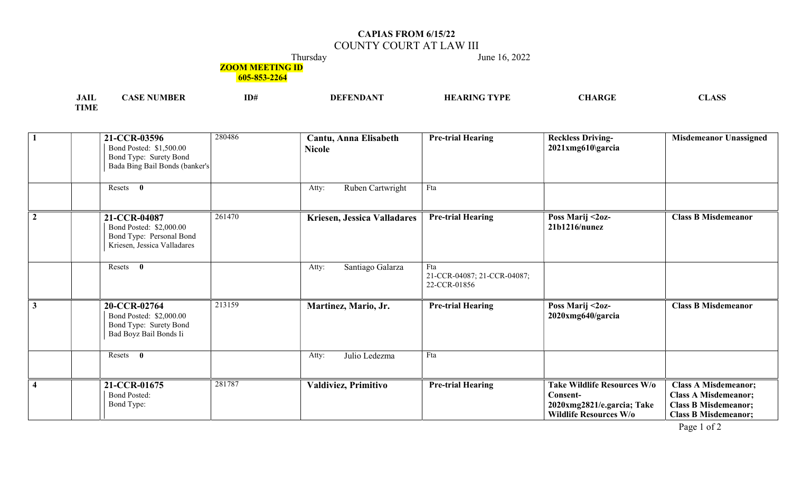## CAPIAS FROM 6/15/22 COUNTY COURT AT LAW III

Thursday June 16, 2022

## **ZOOM MEETING ID**

605-853-2264

| JAII        | <b>NUMBER</b><br>ASE | ID# | $\mathbf{A}\mathbf{D}\mathbf{A}\mathbf{N}$<br>EDDAID A | $\mathbf{T}\mathbf{YPE}$<br>` RINt<br>HЕ | <b>CHARGE</b> | <b>CLASS</b> |
|-------------|----------------------|-----|--------------------------------------------------------|------------------------------------------|---------------|--------------|
| <b>TIME</b> |                      |     |                                                        |                                          |               |              |

|                | 280486<br>21-CCR-03596<br>Bond Posted: \$1,500.00<br>Bond Type: Surety Bond<br>Bada Bing Bail Bonds (banker's | Cantu, Anna Elisabeth<br><b>Nicole</b> | <b>Pre-trial Hearing</b>                           | <b>Reckless Driving-</b><br>2021xmg610\garcia                                                          | <b>Misdemeanor Unassigned</b>                                                                                            |
|----------------|---------------------------------------------------------------------------------------------------------------|----------------------------------------|----------------------------------------------------|--------------------------------------------------------------------------------------------------------|--------------------------------------------------------------------------------------------------------------------------|
|                | Resets<br>$\mathbf{0}$                                                                                        | Ruben Cartwright<br>Atty:              | Fta                                                |                                                                                                        |                                                                                                                          |
| $\overline{2}$ | 261470<br>21-CCR-04087<br>Bond Posted: \$2,000.00<br>Bond Type: Personal Bond<br>Kriesen, Jessica Valladares  | Kriesen, Jessica Valladares            | <b>Pre-trial Hearing</b>                           | Poss Marij <2oz-<br>21b1216/nunez                                                                      | <b>Class B Misdemeanor</b>                                                                                               |
|                | $\mathbf{0}$<br>Resets                                                                                        | Santiago Galarza<br>Atty:              | Fta<br>21-CCR-04087; 21-CCR-04087;<br>22-CCR-01856 |                                                                                                        |                                                                                                                          |
| $\overline{3}$ | 213159<br>20-CCR-02764<br>Bond Posted: \$2,000.00<br>Bond Type: Surety Bond<br>Bad Boyz Bail Bonds Ii         | Martinez, Mario, Jr.                   | <b>Pre-trial Hearing</b>                           | Poss Marij <2oz-<br>2020xmg640/garcia                                                                  | <b>Class B Misdemeanor</b>                                                                                               |
|                | $\mathbf{0}$<br>Resets                                                                                        | Julio Ledezma<br>Atty:                 | Fta                                                |                                                                                                        |                                                                                                                          |
| $\overline{4}$ | 281787<br>21-CCR-01675<br><b>Bond Posted:</b><br>Bond Type:                                                   | Valdiviez, Primitivo                   | <b>Pre-trial Hearing</b>                           | Take Wildlife Resources W/o<br>Consent-<br>2020xmg2821/e.garcia; Take<br><b>Wildlife Resources W/o</b> | <b>Class A Misdemeanor;</b><br><b>Class A Misdemeanor;</b><br><b>Class B Misdemeanor;</b><br><b>Class B Misdemeanor;</b> |